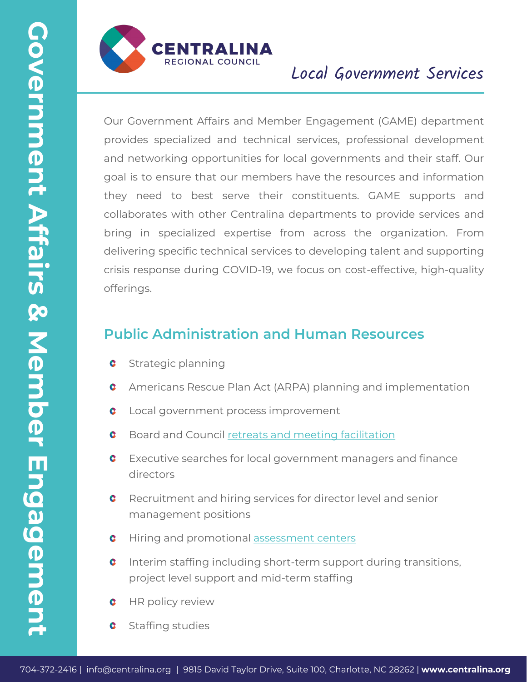

# Local Government Services

**2041**<br> **2012 CENTRALINA**<br> **CONSECTION CONSECT CONSECT AND CONSECT AND CONSECT AND CONSECT AND CONSECT AND ARRENT CONSECT AND TAXLE CONSECT AND TAXLE CONSECT AND THE SUITE CONSECT AND CONSECT AND CONSECT AND CONSECT AND** Our Government Affairs and Member Engagement (GAME) department provides specialized and technical services, professional development and networking opportunities for local governments and their staff. Our goal is to ensure that our members have the resources and information they need to best serve their constituents. GAME supports and collaborates with other Centralina departments to provide services and bring in specialized expertise from across the organization. From delivering specific technical services to developing talent and supporting crisis response during COVID-19, we focus on cost-effective, high-quality offerings.

## **Public Administration and Human Resources**

- Strategic planning
- Americans Rescue Plan Act (ARPA) planning and implementation
- Local government process improvement
- Board and Council [retreats and meeting facilitation](https://centralina.org/wp-content/uploads/2020/12/Sales-Sheet-Meeting-Design-Facilitation-12.20.pdf)
- Executive searches for local government managers and finance directors
- Recruitment and hiring services for director level and senior management positions
- Hiring and promotional [assessment centers](https://centralina.org/wp-content/uploads/2022/02/Sales-Sheet-Assessment-Centers-12.21.pdf)
- Interim staffing including short-term support during transitions, project level support and mid-term staffing
- HR policy review
- Staffing studies